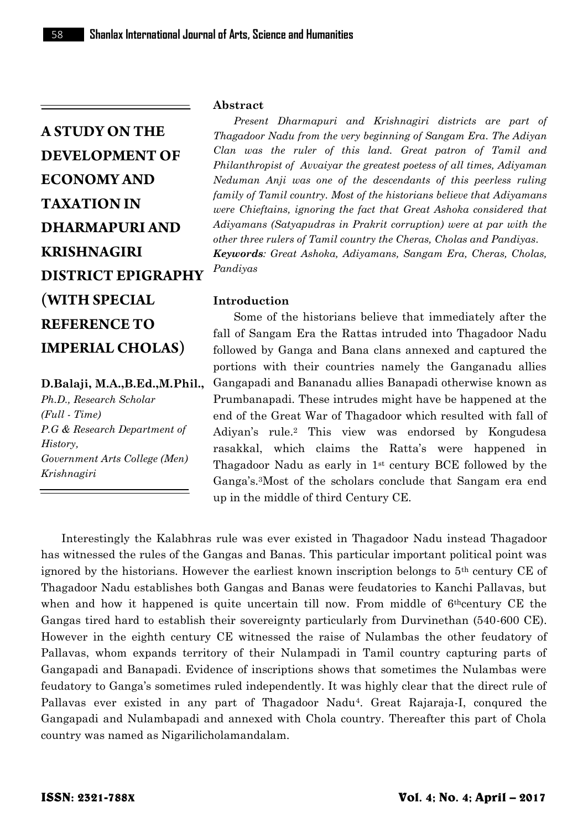# **D.Balaji, M.A.,B.Ed.,M.Phil.,**

*Ph.D., Research Scholar (Full - Time) P.G & Research Department of History, Government Arts College (Men) Krishnagiri*

#### **Abstract**

*Present Dharmapuri and Krishnagiri districts are part of Thagadoor Nadu from the very beginning of Sangam Era. The Adiyan Clan was the ruler of this land. Great patron of Tamil and Philanthropist of Avvaiyar the greatest poetess of all times, Adiyaman Neduman Anji was one of the descendants of this peerless ruling family of Tamil country. Most of the historians believe that Adiyamans were Chieftains, ignoring the fact that Great Ashoka considered that Adiyamans (Satyapudras in Prakrit corruption) were at par with the other three rulers of Tamil country the Cheras, Cholas and Pandiyas. Keywords: Great Ashoka, Adiyamans, Sangam Era, Cheras, Cholas, Pandiyas*

#### **Introduction**

Some of the historians believe that immediately after the fall of Sangam Era the Rattas intruded into Thagadoor Nadu followed by Ganga and Bana clans annexed and captured the portions with their countries namely the Ganganadu allies Gangapadi and Bananadu allies Banapadi otherwise known as Prumbanapadi. These intrudes might have be happened at the end of the Great War of Thagadoor which resulted with fall of Adiyan's rule.<sup>2</sup> This view was endorsed by Kongudesa rasakkal, which claims the Ratta's were happened in Thagadoor Nadu as early in 1st century BCE followed by the Ganga's.3Most of the scholars conclude that Sangam era end up in the middle of third Century CE.

Interestingly the Kalabhras rule was ever existed in Thagadoor Nadu instead Thagadoor has witnessed the rules of the Gangas and Banas. This particular important political point was ignored by the historians. However the earliest known inscription belongs to  $5<sup>th</sup>$  century CE of Thagadoor Nadu establishes both Gangas and Banas were feudatories to Kanchi Pallavas, but when and how it happened is quite uncertain till now. From middle of 6<sup>th</sup>century CE the Gangas tired hard to establish their sovereignty particularly from Durvinethan (540-600 CE). However in the eighth century CE witnessed the raise of Nulambas the other feudatory of Pallavas, whom expands territory of their Nulampadi in Tamil country capturing parts of Gangapadi and Banapadi. Evidence of inscriptions shows that sometimes the Nulambas were feudatory to Ganga's sometimes ruled independently. It was highly clear that the direct rule of Pallavas ever existed in any part of Thagadoor Nadu4. Great Rajaraja-I, conqured the Gangapadi and Nulambapadi and annexed with Chola country. Thereafter this part of Chola country was named as Nigarilicholamandalam.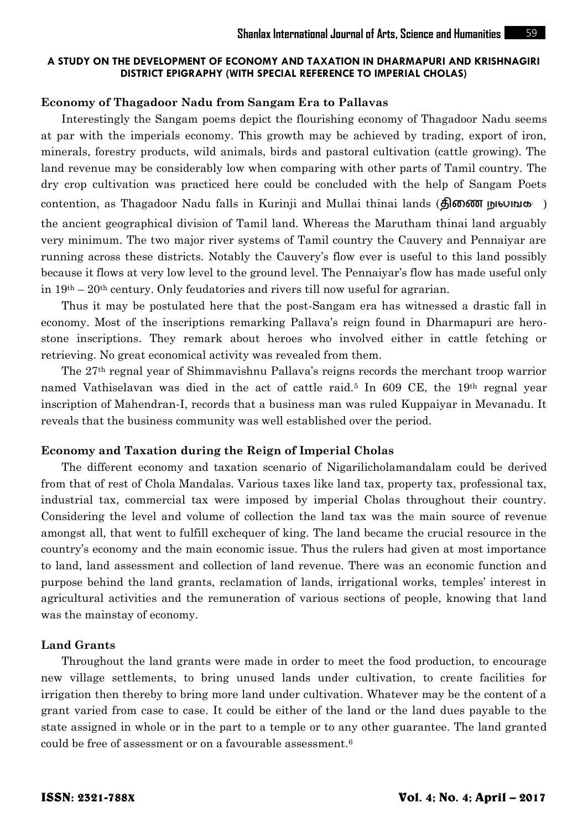#### **Economy of Thagadoor Nadu from Sangam Era to Pallavas**

Interestingly the Sangam poems depict the flourishing economy of Thagadoor Nadu seems at par with the imperials economy. This growth may be achieved by trading, export of iron, minerals, forestry products, wild animals, birds and pastoral cultivation (cattle growing). The land revenue may be considerably low when comparing with other parts of Tamil country. The dry crop cultivation was practiced here could be concluded with the help of Sangam Poets contention, as Thagadoor Nadu falls in Kurinji and Mullai thinai lands (**திணை நுலமுக**) the ancient geographical division of Tamil land. Whereas the Marutham thinai land arguably very minimum. The two major river systems of Tamil country the Cauvery and Pennaiyar are running across these districts. Notably the Cauvery's flow ever is useful to this land possibly because it flows at very low level to the ground level. The Pennaiyar's flow has made useful only in  $19<sup>th</sup> - 20<sup>th</sup>$  century. Only feudatories and rivers till now useful for agrarian.

Thus it may be postulated here that the post-Sangam era has witnessed a drastic fall in economy. Most of the inscriptions remarking Pallava's reign found in Dharmapuri are hero stone inscriptions. They remark about heroes who involved either in cattle fetching or retrieving. No great economical activity was revealed from them.

The 27th regnal year of Shimmavishnu Pallava's reigns records the merchant troop warrior named Vathiselavan was died in the act of cattle raid.<sup>5</sup> In 609 CE, the 19<sup>th</sup> regnal year inscription of Mahendran-I, records that a business man was ruled Kuppaiyar in Mevanadu. It reveals that the business community was well established over the period.

#### **Economy and Taxation during the Reign of Imperial Cholas**

The different economy and taxation scenario of Nigarilicholamandalam could be derived from that of rest of Chola Mandalas. Various taxes like land tax, property tax, professional tax, industrial tax, commercial tax were imposed by imperial Cholas throughout their country. Considering the level and volume of collection the land tax was the main source of revenue amongst all, that went to fulfill exchequer of king. The land became the crucial resource in the country's economy and the main economic issue. Thus the rulers had given at most importance to land, land assessment and collection of land revenue. There was an economic function and purpose behind the land grants, reclamation of lands, irrigational works, temples' interest in agricultural activities and the remuneration of various sections of people, knowing that land was the mainstay of economy.

#### **Land Grants**

Throughout the land grants were made in order to meet the food production, to encourage new village settlements, to bring unused lands under cultivation, to create facilities for irrigation then thereby to bring more land under cultivation. Whatever may be the content of a grant varied from case to case. It could be either of the land or the land dues payable to the state assigned in whole or in the part to a temple or to any other guarantee. The land granted could be free of assessment or on a favourable assessment.6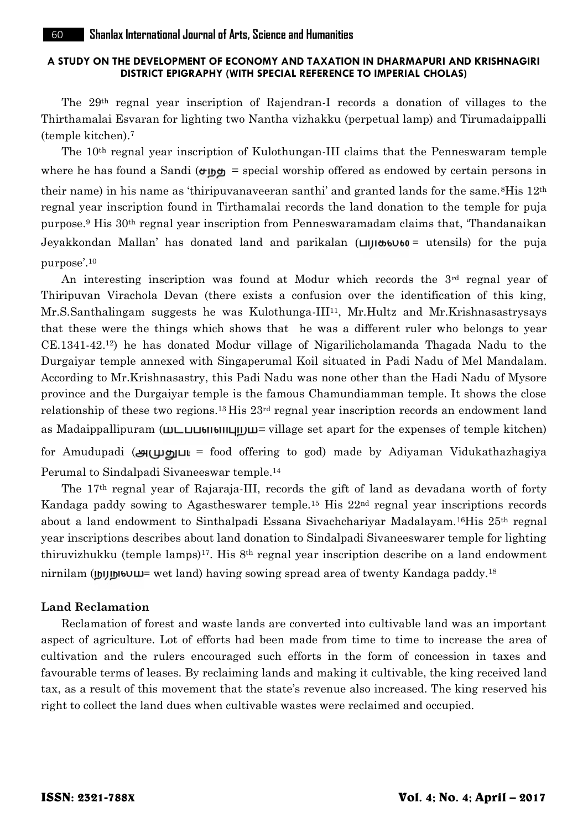The 29th regnal year inscription of Rajendran-I records a donation of villages to the Thirthamalai Esvaran for lighting two Nantha vizhakku (perpetual lamp) and Tirumadaippalli (temple kitchen).<sup>7</sup>

The 10th regnal year inscription of Kulothungan-III claims that the Penneswaram temple where he has found a Sandi  $(\sigma \circ \sigma)$  = special worship offered as endowed by certain persons in their name) in his name as 'thiripuvanaveeran santhi' and granted lands for the same.<sup>8</sup>His  $12<sup>th</sup>$ regnal year inscription found in Tirthamalai records the land donation to the temple for puja purpose.<sup>9</sup> His 30th regnal year inscription from Penneswaramadam claims that, 'Thandanaikan Jeyakkondan Mallan' has donated land and parikalan  $(\Box)$ bototomether is the puja purpose'.<sup>10</sup>

An interesting inscription was found at Modur which records the 3rd regnal year of Thiripuvan Virachola Devan (there exists a confusion over the identification of this king, Mr.S.Santhalingam suggests he was Kulothunga-III11, Mr.Hultz and Mr.Krishnasastrysays that these were the things which shows that he was a different ruler who belongs to year CE.1341-42.12) he has donated Modur village of Nigarilicholamanda Thagada Nadu to the Durgaiyar temple annexed with Singaperumal Koil situated in Padi Nadu of Mel Mandalam. According to Mr.Krishnasastry, this Padi Nadu was none other than the Hadi Nadu of Mysore province and the Durgaiyar temple is the famous Chamundiamman temple. It shows the close relationship of these two regions.<sup>13</sup> His 23<sup>rd</sup> regnal year inscription records an endowment land as Madaippallipuram  $(\text{min}_{\text{min}_{\text{min}}}, \text{min}_{\text{min}_{\text{min}}}$  as apart for the expenses of temple kitchen)

for Amudupadi ( $\mathcal{L}(\mu)$  = food offering to god) made by Adiyaman Vidukathazhagiya Perumal to Sindalpadi Sivaneeswar temple.<sup>14</sup>

The 17th regnal year of Rajaraja-III, records the gift of land as devadana worth of forty Kandaga paddy sowing to Agastheswarer temple.<sup>15</sup> His 22nd regnal year inscriptions records about a land endowment to Sinthalpadi Essana Sivachchariyar Madalayam.16His 25th regnal year inscriptions describes about land donation to Sindalpadi Sivaneeswarer temple for lighting thiruvizhukku (temple lamps)<sup>17</sup>. His 8<sup>th</sup> regnal year inscription describe on a land endowment nirnilam ( $\mu$ <sup>18</sup>) wet land) having sowing spread area of twenty Kandaga paddy.<sup>18</sup>

# **Land Reclamation**

Reclamation of forest and waste lands are converted into cultivable land was an important aspect of agriculture. Lot of efforts had been made from time to time to increase the area of cultivation and the rulers encouraged such efforts in the form of concession in taxes and favourable terms of leases. By reclaiming lands and making it cultivable, the king received land tax, as a result of this movement that the state's revenue also increased. The king reserved his right to collect the land dues when cultivable wastes were reclaimed and occupied.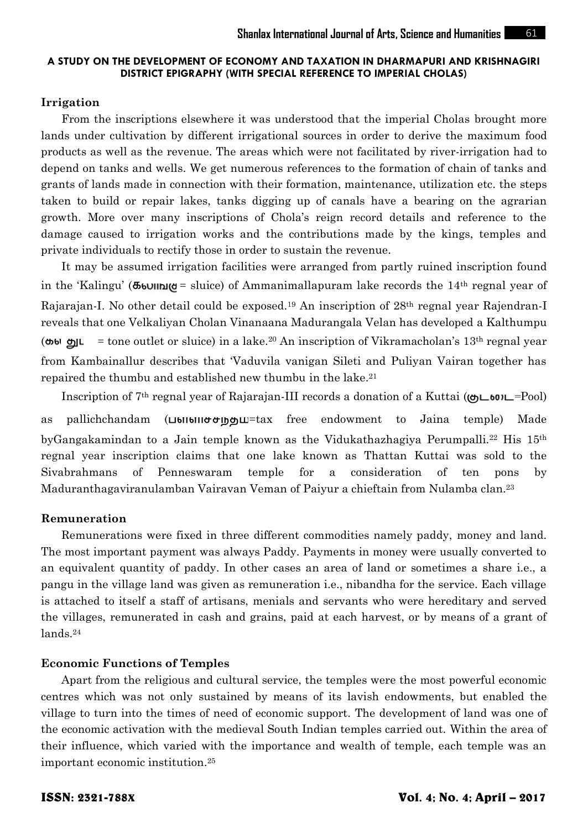#### **Irrigation**

From the inscriptions elsewhere it was understood that the imperial Cholas brought more lands under cultivation by different irrigational sources in order to derive the maximum food products as well as the revenue. The areas which were not facilitated by river-irrigation had to depend on tanks and wells. We get numerous references to the formation of chain of tanks and grants of lands made in connection with their formation, maintenance, utilization etc. the steps taken to build or repair lakes, tanks digging up of canals have a bearing on the agrarian growth. More over many inscriptions of Chola's reign record details and reference to the damage caused to irrigation works and the contributions made by the kings, temples and private individuals to rectify those in order to sustain the revenue.

It may be assumed irrigation facilities were arranged from partly ruined inscription found in the 'Kalingu' ( $\sigma$ <sub>b</sub>und  $\sigma$  = sluice) of Ammanimallapuram lake records the 14<sup>th</sup> regnal year of Rajarajan-I. No other detail could be exposed.<sup>19</sup> An inscription of 28<sup>th</sup> regnal year Rajendran-I reveals that one Velkaliyan Cholan Vinanaana Madurangala Velan has developed a Kalthumpu  $($ **th**  $\bullet$   $\bullet$   $\bullet$   $\bullet$   $\bullet$   $\bullet$  and  $\bullet$  sluid in a lake.<sup>20</sup> An inscription of Vikramacholan's 13<sup>th</sup> regnal year from Kambainallur describes that 'Vaduvila vanigan Sileti and Puliyan Vairan together has repaired the thumbu and established new thumbu in the lake.<sup>21</sup>

Inscription of 7<sup>th</sup> regnal year of Rajarajan-III records a donation of a Kuttai ( $\omega$ L<sup>601</sup>L=Pool)

as pallichchandam ( $\Box$ bilbillotolog $\Box$ tax free endowment to Jaina temple) Made byGangakamindan to a Jain temple known as the Vidukathazhagiya Perumpalli.<sup>22</sup> His 15<sup>th</sup> regnal year inscription claims that one lake known as Thattan Kuttai was sold to the Sivabrahmans of Penneswaram temple for a consideration of ten pons by Maduranthagaviranulamban Vairavan Veman of Paiyur a chieftain from Nulamba clan.<sup>23</sup>

#### **Remuneration**

Remunerations were fixed in three different commodities namely paddy, money and land. The most important payment was always Paddy. Payments in money were usually converted to an equivalent quantity of paddy. In other cases an area of land or sometimes a share i.e., a pangu in the village land was given as remuneration i.e., nibandha for the service. Each village is attached to itself a staff of artisans, menials and servants who were hereditary and served the villages, remunerated in cash and grains, paid at each harvest, or by means of a grant of lands.<sup>24</sup>

# **Economic Functions of Temples**

Apart from the religious and cultural service, the temples were the most powerful economic centres which was not only sustained by means of its lavish endowments, but enabled the village to turn into the times of need of economic support. The development of land was one of the economic activation with the medieval South Indian temples carried out. Within the area of their influence, which varied with the importance and wealth of temple, each temple was an important economic institution.25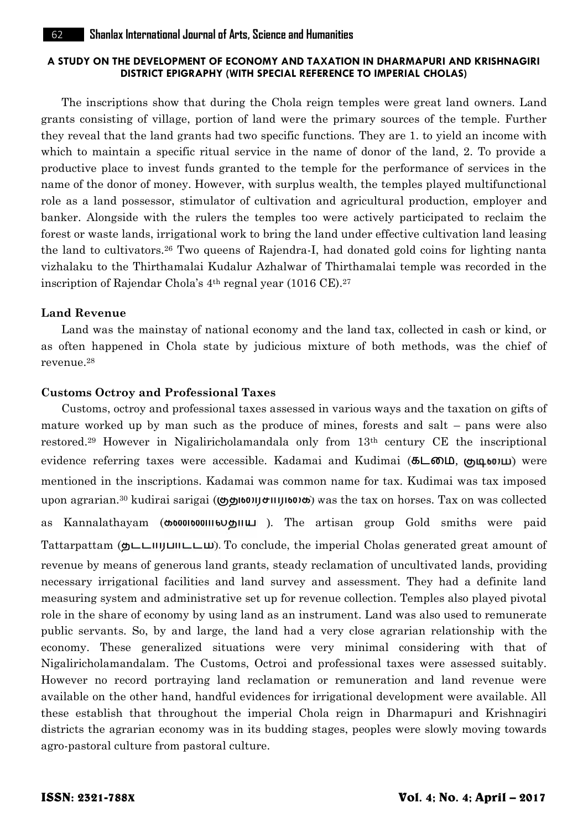The inscriptions show that during the Chola reign temples were great land owners. Land grants consisting of village, portion of land were the primary sources of the temple. Further they reveal that the land grants had two specific functions. They are 1. to yield an income with which to maintain a specific ritual service in the name of donor of the land, 2. To provide a productive place to invest funds granted to the temple for the performance of services in the name of the donor of money. However, with surplus wealth, the temples played multifunctional role as a land possessor, stimulator of cultivation and agricultural production, employer and banker. Alongside with the rulers the temples too were actively participated to reclaim the forest or waste lands, irrigational work to bring the land under effective cultivation land leasing the land to cultivators.<sup>26</sup> Two queens of Rajendra-I, had donated gold coins for lighting nanta vizhalaku to the Thirthamalai Kudalur Azhalwar of Thirthamalai temple was recorded in the inscription of Rajendar Chola's 4th regnal year (1016 CE).<sup>27</sup>

#### **Land Revenue**

Land was the mainstay of national economy and the land tax, collected in cash or kind, or as often happened in Chola state by judicious mixture of both methods, was the chief of revenue.<sup>28</sup>

#### **Customs Octroy and Professional Taxes**

Customs, octroy and professional taxes assessed in various ways and the taxation on gifts of mature worked up by man such as the produce of mines, forests and salt – pans were also restored.<sup>29</sup> However in Nigaliricholamandala only from 13th century CE the inscriptional evidence referring taxes were accessible. Kadamai and Kudimai (கடமை), முடிமை) were mentioned in the inscriptions. Kadamai was common name for tax. Kudimai was tax imposed upon agrarian.<sup>30</sup> kudirai sarigai ((b) b) was the tax on horses. Tax on was collected as Kannalathayam (coronooninoughium). The artisan group Gold smiths were paid Tattarpattam ( $\Delta L$ IIIJUII $\Delta L$ ). To conclude, the imperial Cholas generated great amount of revenue by means of generous land grants, steady reclamation of uncultivated lands, providing necessary irrigational facilities and land survey and assessment. They had a definite land measuring system and administrative set up for revenue collection. Temples also played pivotal role in the share of economy by using land as an instrument. Land was also used to remunerate public servants. So, by and large, the land had a very close agrarian relationship with the economy. These generalized situations were very minimal considering with that of Nigaliricholamandalam. The Customs, Octroi and professional taxes were assessed suitably. However no record portraying land reclamation or remuneration and land revenue were available on the other hand, handful evidences for irrigational development were available. All these establish that throughout the imperial Chola reign in Dharmapuri and Krishnagiri districts the agrarian economy was in its budding stages, peoples were slowly moving towards agro-pastoral culture from pastoral culture.